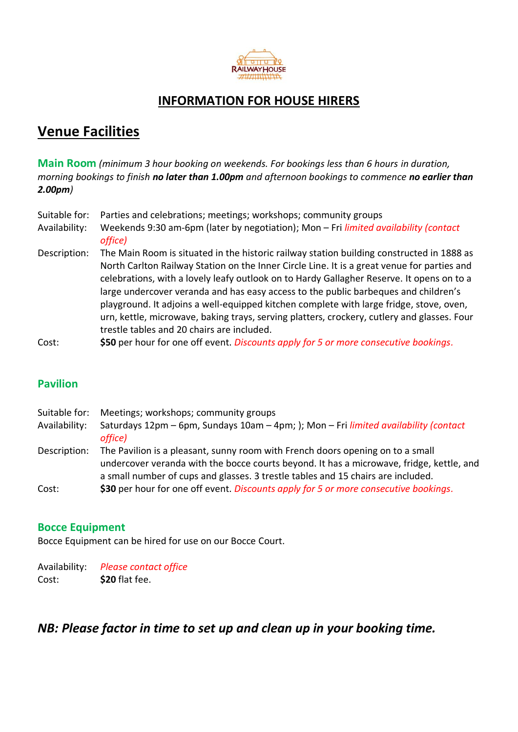

### **INFORMATION FOR HOUSE HIRERS**

# **Venue Facilities**

**Main Room** *(minimum 3 hour booking on weekends. For bookings less than 6 hours in duration, morning bookings to finish no later than 1.00pm and afternoon bookings to commence no earlier than 2.00pm)*

| Suitable for: | Parties and celebrations; meetings; workshops; community groups                             |
|---------------|---------------------------------------------------------------------------------------------|
|               |                                                                                             |
| Availability: | Weekends 9:30 am-6pm (later by negotiation); Mon - Fri limited availability (contact        |
|               | office)                                                                                     |
| Description:  | The Main Room is situated in the historic railway station building constructed in 1888 as   |
|               | North Carlton Railway Station on the Inner Circle Line. It is a great venue for parties and |
|               | colobrations, with a lovely loafy outlook on to Hardy Gallagher Peserve, It oness on to a   |

- celebrations, with a lovely leafy outlook on to Hardy Gallagher Reserve. It opens on to a large undercover veranda and has easy access to the public barbeques and children's playground. It adjoins a well-equipped kitchen complete with large fridge, stove, oven, urn, kettle, microwave, baking trays, serving platters, crockery, cutlery and glasses. Four trestle tables and 20 chairs are included.
- Cost: **\$50** per hour for one off event. *Discounts apply for 5 or more consecutive bookings.*

#### **Pavilion**

Suitable for: Meetings; workshops; community groups Availability: Saturdays 12pm – 6pm, Sundays 10am – 4pm; ); Mon – Fri *limited availability (contact office)* Description: The Pavilion is a pleasant, sunny room with French doors opening on to a small undercover veranda with the bocce courts beyond. It has a microwave, fridge, kettle, and a small number of cups and glasses. 3 trestle tables and 15 chairs are included. Cost: **\$30** per hour for one off event. *Discounts apply for 5 or more consecutive bookings.*

#### **Bocce Equipment**

Bocce Equipment can be hired for use on our Bocce Court.

Availability: *Please contact office* Cost: **\$20** flat fee.

#### *NB: Please factor in time to set up and clean up in your booking time.*